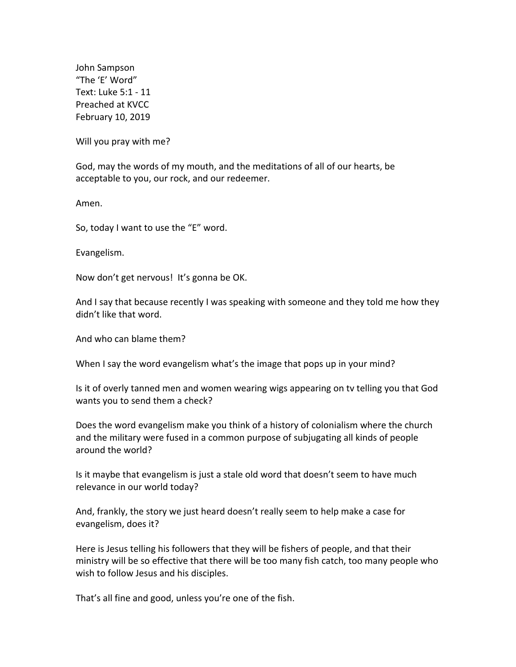John Sampson "The 'E' Word" Text: Luke 5:1 - 11 Preached at KVCC February 10, 2019

Will you pray with me?

God, may the words of my mouth, and the meditations of all of our hearts, be acceptable to you, our rock, and our redeemer.

Amen.

So, today I want to use the "E" word.

Evangelism.

Now don't get nervous! It's gonna be OK.

And I say that because recently I was speaking with someone and they told me how they didn't like that word.

And who can blame them?

When I say the word evangelism what's the image that pops up in your mind?

Is it of overly tanned men and women wearing wigs appearing on tv telling you that God wants you to send them a check?

Does the word evangelism make you think of a history of colonialism where the church and the military were fused in a common purpose of subjugating all kinds of people around the world?

Is it maybe that evangelism is just a stale old word that doesn't seem to have much relevance in our world today?

And, frankly, the story we just heard doesn't really seem to help make a case for evangelism, does it?

Here is Jesus telling his followers that they will be fishers of people, and that their ministry will be so effective that there will be too many fish catch, too many people who wish to follow Jesus and his disciples.

That's all fine and good, unless you're one of the fish.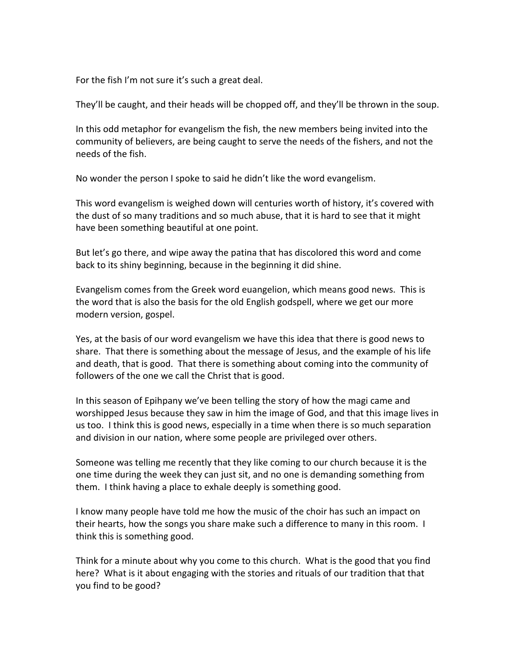For the fish I'm not sure it's such a great deal.

They'll be caught, and their heads will be chopped off, and they'll be thrown in the soup.

In this odd metaphor for evangelism the fish, the new members being invited into the community of believers, are being caught to serve the needs of the fishers, and not the needs of the fish.

No wonder the person I spoke to said he didn't like the word evangelism.

This word evangelism is weighed down will centuries worth of history, it's covered with the dust of so many traditions and so much abuse, that it is hard to see that it might have been something beautiful at one point.

But let's go there, and wipe away the patina that has discolored this word and come back to its shiny beginning, because in the beginning it did shine.

Evangelism comes from the Greek word euangelion, which means good news. This is the word that is also the basis for the old English godspell, where we get our more modern version, gospel.

Yes, at the basis of our word evangelism we have this idea that there is good news to share. That there is something about the message of Jesus, and the example of his life and death, that is good. That there is something about coming into the community of followers of the one we call the Christ that is good.

In this season of Epihpany we've been telling the story of how the magi came and worshipped Jesus because they saw in him the image of God, and that this image lives in us too. I think this is good news, especially in a time when there is so much separation and division in our nation, where some people are privileged over others.

Someone was telling me recently that they like coming to our church because it is the one time during the week they can just sit, and no one is demanding something from them. I think having a place to exhale deeply is something good.

I know many people have told me how the music of the choir has such an impact on their hearts, how the songs you share make such a difference to many in this room. I think this is something good.

Think for a minute about why you come to this church. What is the good that you find here? What is it about engaging with the stories and rituals of our tradition that that you find to be good?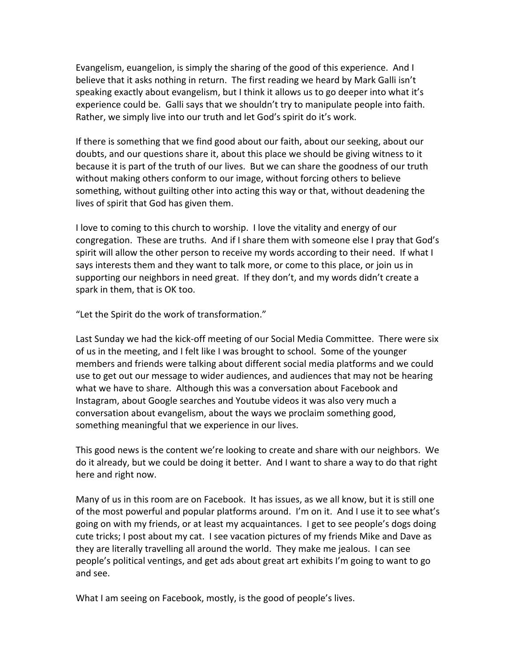Evangelism, euangelion, is simply the sharing of the good of this experience. And I believe that it asks nothing in return. The first reading we heard by Mark Galli isn't speaking exactly about evangelism, but I think it allows us to go deeper into what it's experience could be. Galli says that we shouldn't try to manipulate people into faith. Rather, we simply live into our truth and let God's spirit do it's work.

If there is something that we find good about our faith, about our seeking, about our doubts, and our questions share it, about this place we should be giving witness to it because it is part of the truth of our lives. But we can share the goodness of our truth without making others conform to our image, without forcing others to believe something, without guilting other into acting this way or that, without deadening the lives of spirit that God has given them.

I love to coming to this church to worship. I love the vitality and energy of our congregation. These are truths. And if I share them with someone else I pray that God's spirit will allow the other person to receive my words according to their need. If what  $I$ says interests them and they want to talk more, or come to this place, or join us in supporting our neighbors in need great. If they don't, and my words didn't create a spark in them, that is OK too.

"Let the Spirit do the work of transformation."

Last Sunday we had the kick-off meeting of our Social Media Committee. There were six of us in the meeting, and I felt like I was brought to school. Some of the younger members and friends were talking about different social media platforms and we could use to get out our message to wider audiences, and audiences that may not be hearing what we have to share. Although this was a conversation about Facebook and Instagram, about Google searches and Youtube videos it was also very much a conversation about evangelism, about the ways we proclaim something good, something meaningful that we experience in our lives.

This good news is the content we're looking to create and share with our neighbors. We do it already, but we could be doing it better. And I want to share a way to do that right here and right now.

Many of us in this room are on Facebook. It has issues, as we all know, but it is still one of the most powerful and popular platforms around. I'm on it. And I use it to see what's going on with my friends, or at least my acquaintances. I get to see people's dogs doing cute tricks; I post about my cat. I see vacation pictures of my friends Mike and Dave as they are literally travelling all around the world. They make me jealous. I can see people's political ventings, and get ads about great art exhibits I'm going to want to go and see.

What I am seeing on Facebook, mostly, is the good of people's lives.